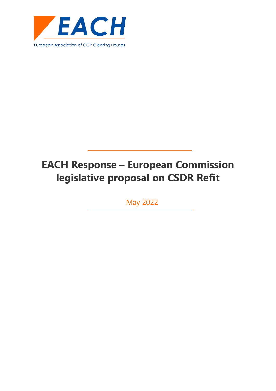

# **EACH Response – European Commission legislative proposal on CSDR Refit**

May 2022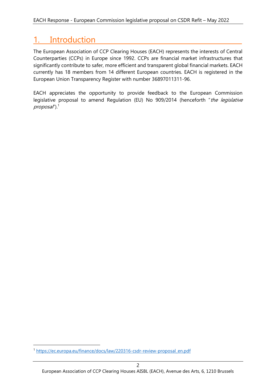# 1. Introduction

The European Association of CCP Clearing Houses (EACH) represents the interests of Central Counterparties (CCPs) in Europe since 1992. CCPs are financial market infrastructures that significantly contribute to safer, more efficient and transparent global financial markets. EACH currently has 18 members from 14 different European countries. EACH is registered in the European Union Transparency Register with number 36897011311-96.

EACH appreciates the opportunity to provide feedback to the European Commission legislative proposal to amend Regulation (EU) No 909/2014 (henceforth "the legislative  $proposal$ ").<sup>1</sup>

<sup>1</sup> [https://ec.europa.eu/finance/docs/law/220316-csdr-review-proposal\\_en.pdf](https://ec.europa.eu/finance/docs/law/220316-csdr-review-proposal_en.pdf)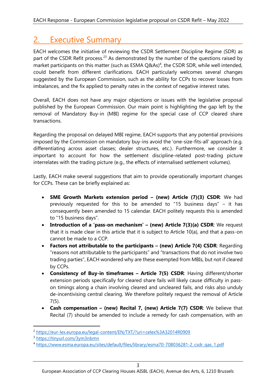# 2. Executive Summary

EACH welcomes the initiative of reviewing the CSDR Settlement Discipline Regime (SDR) as part of the CSDR Refit process.<sup>23</sup> As demonstrated by the number of the questions raised by market participants on this matter (such as ESMA Q&As)<sup>4</sup>, the CSDR SDR, while well intended, could benefit from different clarifications. EACH particularly welcomes several changes suggested by the European Commission, such as the ability for CCPs to recover losses from imbalances, and the fix applied to penalty rates in the context of negative interest rates.

Overall, EACH does not have any major objections or issues with the legislative proposal published by the European Commission. Our main point is highlighting the gap left by the removal of Mandatory Buy-in (MBI) regime for the special case of CCP cleared share transactions.

Regarding the proposal on delayed MBI regime, EACH supports that any potential provisions imposed by the Commission on mandatory buy-ins avoid the 'one-size-fits-all' approach (e.g. differentiating across asset classes; dealer structures, etc.). Furthermore, we consider it important to account for how the settlement discipline-related post-trading picture interrelates with the trading picture (e.g., the effects of internalised settlement volumes).

Lastly, EACH make several suggestions that aim to provide operationally important changes for CCPs. These can be briefly explained as:

- **SME Growth Markets extension period – (new) Article (7)(3) CSDR**: We had previously requested for this to be amended to "15 business days" – it has consequently been amended to 15 calendar. EACH politely requests this is amended to "15 business days".
- **Introduction of a 'pass-on mechanism' – (new) Article 7(3)(a) CSDR**: We request that it is made clear in this article that it is subject to Article 10(a), and that a pass-on cannot be made to a CCP.
- **Factors not attributable to the participants – (new) Article 7(4) CSDR**: Regarding "reasons not attributable to the participants" and "transactions that do not involve two trading parties", EACH wondered why are these exempted from MBIs, but not if cleared by CCPs.
- **Consistency of Buy-in timeframes – Article 7(5) CSDR**: Having different/shorter extension periods specifically for cleared share fails will likely cause difficulty in passon timings along a chain involving cleared and uncleared fails, and risks also unduly de-incentivising central clearing. We therefore politely request the removal of Article 7(5).
- **Cash compensation – (new) Recital 7, (new) Article 7(7) CSDR**: We believe that Recital (7) should be amended to include a remedy for cash compensation, with an

<sup>2</sup> <https://eur-lex.europa.eu/legal-content/EN/TXT/?uri=celex%3A32014R0909>

<sup>3</sup> <https://tinyurl.com/3ym3nbmn>

<sup>4</sup> [https://www.esma.europa.eu/sites/default/files/library/esma70-708036281-2\\_csdr\\_qas\\_1.pdf](https://www.esma.europa.eu/sites/default/files/library/esma70-708036281-2_csdr_qas_1.pdf)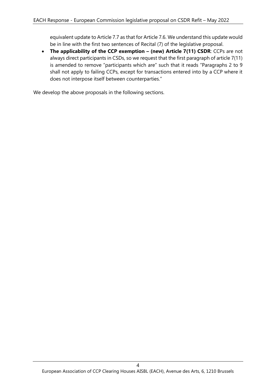equivalent update to Article 7.7 as that for Article 7.6. We understand this update would be in line with the first two sentences of Recital (7) of the legislative proposal.

• The applicability of the CCP exemption - (new) Article 7(11) CSDR: CCPs are not always direct participants in CSDs, so we request that the first paragraph of article 7(11) is amended to remove "participants which are" such that it reads "Paragraphs 2 to 9 shall not apply to failing CCPs, except for transactions entered into by a CCP where it does not interpose itself between counterparties."

We develop the above proposals in the following sections.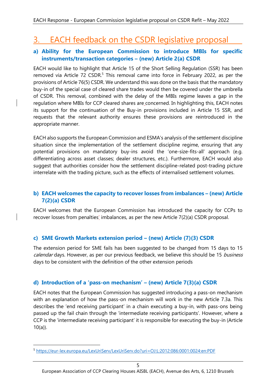# 3. EACH feedback on the CSDR legislative proposal

#### **a) Ability for the European Commission to introduce MBIs for specific instruments/transaction categories – (new) Article 2(a) CSDR**

EACH would like to highlight that Article 15 of the Short Selling Regulation (SSR) has been removed via Article 72 CSDR.<sup>5</sup> This removal came into force in February 2022, as per the provisions of Article 76(5) CSDR. We understand this was done on the basis that the mandatory buy-in of the special case of cleared share trades would then be covered under the umbrella of CSDR. This removal, combined with the delay of the MBIs regime leaves a gap in the regulation where MBIs for CCP cleared shares are concerned. In highlighting this, EACH notes its support for the continuation of the Buy-in provisions included in Article 15 SSR, and requests that the relevant authority ensures these provisions are reintroduced in the appropriate manner.

EACH also supports the European Commission and ESMA's analysis of the settlement discipline situation since the implementation of the settlement discipline regime, ensuring that any potential provisions on mandatory buy-ins avoid the 'one-size-fits-all' approach (e.g. differentiating across asset classes; dealer structures, etc.). Furthermore, EACH would also suggest that authorities consider how the settlement discipline-related post-trading picture interrelate with the trading picture, such as the effects of internalised settlement volumes.

## **b) EACH welcomes the capacity to recover losses from imbalances – (new) Article 7(2)(a) CSDR**

EACH welcomes that the European Commission has introduced the capacity for CCPs to recover losses from penalties' imbalances, as per the new Article 7(2)(a) CSDR proposal.

# **c) SME Growth Markets extension period – (new) Article (7)(3) CSDR**

The extension period for SME fails has been suggested to be changed from 15 days to 15 calendar days. However, as per our previous feedback, we believe this should be 15 business days to be consistent with the definition of the other extension periods

# **d) Introduction of a 'pass-on mechanism' – (new) Article 7(3)(a) CSDR**

EACH notes that the European Commission has suggested introducing a pass-on mechanism with an explanation of how the pass-on mechanism will work in the new Article 7.3a. This describes the 'end receiving participant' in a chain executing a buy-in, with pass-ons being passed up the fail chain through the 'intermediate receiving participants'. However, where a CCP is the 'intermediate receiving participant' it is responsible for executing the buy-in (Article  $10(a)$ ).

<sup>5</sup> <https://eur-lex.europa.eu/LexUriServ/LexUriServ.do?uri=OJ:L:2012:086:0001:0024:en:PDF>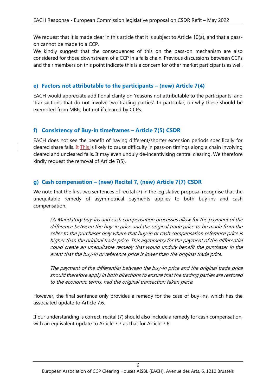We request that it is made clear in this article that it is subject to Article 10(a), and that a passon cannot be made to a CCP.

We kindly suggest that the consequences of this on the pass-on mechanism are also considered for those downstream of a CCP in a fails chain. Previous discussions between CCPs and their members on this point indicate this is a concern for other market participants as well.

#### **e) Factors not attributable to the participants – (new) Article 7(4)**

EACH would appreciate additional clarity on 'reasons not attributable to the participants' and 'transactions that do not involve two trading parties'. In particular, on why these should be exempted from MBIs, but not if cleared by CCPs.

## **f) Consistency of Buy-in timeframes – Article 7(5) CSDR**

EACH does not see the benefit of having different/shorter extension periods specifically for cleared share fails. It This is likely to cause difficulty in pass-on timings along a chain involving cleared and uncleared fails. It may even unduly de-incentivising central clearing. We therefore kindly request the removal of Article 7(5).

## **g) Cash compensation – (new) Recital 7, (new) Article 7(7) CSDR**

We note that the first two sentences of recital (7) in the legislative proposal recognise that the unequitable remedy of asymmetrical payments applies to both buy-ins and cash compensation.

(7) Mandatory buy-ins and cash compensation processes allow for the payment of the difference between the buy-in price and the original trade price to be made from the seller to the purchaser only where that buy-in or cash compensation reference price is higher than the original trade price. This asymmetry for the payment of the differential could create an unequitable remedy that would unduly benefit the purchaser in the event that the buy-in or reference price is lower than the original trade price.

The payment of the differential between the buy-in price and the original trade price should therefore apply in both directions to ensure that the trading parties are restored to the economic terms, had the original transaction taken place.

However, the final sentence only provides a remedy for the case of buy-ins, which has the associated update to Article 7.6.

If our understanding is correct, recital (7) should also include a remedy for cash compensation, with an equivalent update to Article 7.7 as that for Article 7.6.